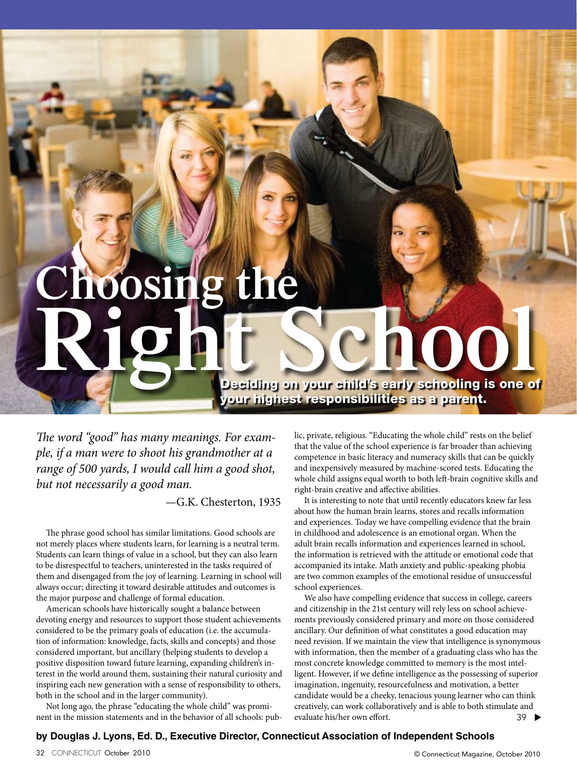## **Right** Schooling is one of your highest responsibilities as a parent. **Choosing the**

*The word "good" has many meanings. For example, if a man were to shoot his grandmother at a range of 500 yards, I would call him a good shot, but not necessarily a good man.*

—G.K. Chesterton, 1935

The phrase good school has similar limitations. Good schools are not merely places where students learn, for learning is a neutral term. Students can learn things of value in a school, but they can also learn to be disrespectful to teachers, uninterested in the tasks required of them and disengaged from the joy of learning. Learning in school will always occur; directing it toward desirable attitudes and outcomes is the major purpose and challenge of formal education.

American schools have historically sought a balance between devoting energy and resources to support those student achievements considered to be the primary goals of education (i.e. the accumulation of information: knowledge, facts, skills and concepts) and those considered important, but ancillary (helping students to develop a positive disposition toward future learning, expanding children's interest in the world around them, sustaining their natural curiosity and inspiring each new generation with a sense of responsibility to others, both in the school and in the larger community).

Not long ago, the phrase "educating the whole child" was prominent in the mission statements and in the behavior of all schools: public, private, religious. "Educating the whole child" rests on the belief that the value of the school experience is far broader than achieving competence in basic literacy and numeracy skills that can be quickly and inexpensively measured by machine-scored tests. Educating the whole child assigns equal worth to both left-brain cognitive skills and right-brain creative and affective abilities.

It is interesting to note that until recently educators knew far less about how the human brain learns, stores and recalls information and experiences. Today we have compelling evidence that the brain in childhood and adolescence is an emotional organ. When the adult brain recalls information and experiences learned in school, the information is retrieved with the attitude or emotional code that accompanied its intake. Math anxiety and public-speaking phobia are two common examples of the emotional residue of unsuccessful school experiences.

We also have compelling evidence that success in college, careers and citizenship in the 21st century will rely less on school achievements previously considered primary and more on those considered ancillary. Our definition of what constitutes a good education may need revision. If we maintain the view that intelligence is synonymous with information, then the member of a graduating class who has the most concrete knowledge committed to memory is the most intelligent. However, if we define intelligence as the possessing of superior imagination, ingenuity, resourcefulness and motivation, a better candidate would be a cheeky, tenacious young learner who can think creatively, can work collaboratively and is able to both stimulate and evaluate his/her own effort. 39 ▼

## **by Douglas J. Lyons, Ed. D., Executive Director, Connecticut Association of Independent Schools**